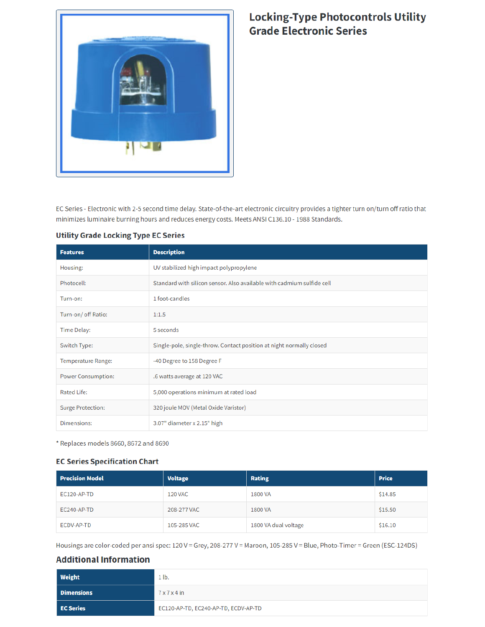

### **Locking-Type Photocontrols Utility Grade Electronic Series**

EC Series - Electronic with 2-5 second time delay. State-of-the-art electronic circuitry provides a tighter turn on/turn off ratio that minimizes luminaire burning hours and reduces energy costs. Meets ANSI C136.10 - 1988 Standards.

| <b>Features</b>           | <b>Description</b>                                                     |  |  |
|---------------------------|------------------------------------------------------------------------|--|--|
| Housing:                  | UV stabilized high impact polypropylene                                |  |  |
| Photocell:                | Standard with silicon sensor. Also available with cadmium sulfide cell |  |  |
| Turn-on:                  | 1 foot-candles                                                         |  |  |
| Turn-on/ off Ratio:       | 1:1.5                                                                  |  |  |
| Time Delay:               | 5 seconds                                                              |  |  |
| Switch Type:              | Single-pole, single-throw. Contact position at night normally closed   |  |  |
| Temperature Range:        | -40 Degree to 158 Degree F                                             |  |  |
| <b>Power Consumption:</b> | .6 watts average at 120 VAC                                            |  |  |
| Rated Life:               | 5,000 operations minimum at rated load                                 |  |  |
| <b>Surge Protection:</b>  | 320 joule MOV (Metal Oxide Varistor)                                   |  |  |
| Dimensions:               | 3.07" diameter x 2.15" high                                            |  |  |

### **Utility Grade Locking Type EC Series**

\* Replaces models 8660, 8672 and 8690

### **EC Series Specification Chart**

| <b>Precision Model</b> | <b>Voltage</b> | <b>Rating</b>        | <b>Price</b> |
|------------------------|----------------|----------------------|--------------|
| EC120-AP-TD            | 120 VAC        | 1800 VA              | \$14.85      |
| EC240-AP-TD            | 208-277 VAC    | 1800 VA              | \$15.50      |
| ECDV-AP-TD             | 105-285 VAC    | 1800 VA dual voltage | \$16.10      |

Housings are color-coded per ansi spec: 120 V = Grey, 208-277 V = Maroon, 105-285 V = Blue, Photo-Timer = Green (ESC-124DS)

### **Additional Information**

| <b>Weight</b>     | 1 lb.                                |
|-------------------|--------------------------------------|
| <b>Dimensions</b> | $7 \times 7 \times 4$ in             |
| <b>EC Series</b>  | EC120-AP-TD, EC240-AP-TD, ECDV-AP-TD |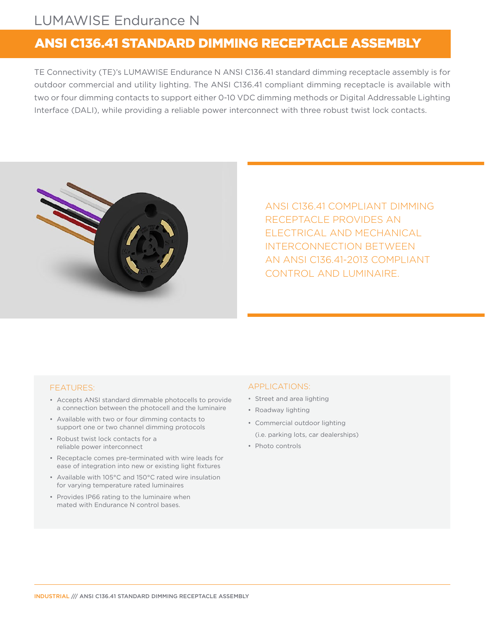# LUMAWISE Endurance N

## ANSI C136.41 STANDARD DIMMING RECEPTACLE ASSEMBLY

TE Connectivity (TE)'s LUMAWISE Endurance N ANSI C136.41 standard dimming receptacle assembly is for outdoor commercial and utility lighting. The ANSI C136.41 compliant dimming receptacle is available with two or four dimming contacts to support either 0-10 VDC dimming methods or Digital Addressable Lighting Interface (DALI), while providing a reliable power interconnect with three robust twist lock contacts.



ANSI C136.41 COMPLIANT DIMMING RECEPTACLE PROVIDES AN ELECTRICAL AND MECHANICAL INTERCONNECTION BETWEEN AN ANSI C136.41-2013 COMPLIANT CONTROL AND LUMINAIRE.

#### FEATURES:

- Accepts ANSI standard dimmable photocells to provide a connection between the photocell and the luminaire
- Available with two or four dimming contacts to support one or two channel dimming protocols
- Robust twist lock contacts for a reliable power interconnect
- Receptacle comes pre-terminated with wire leads for ease of integration into new or existing light fixtures
- Available with 105°C and 150°C rated wire insulation for varying temperature rated luminaires
- Provides IP66 rating to the luminaire when mated with Endurance N control bases.

### APPLICATIONS:

- Street and area lighting
- Roadway lighting
- Commercial outdoor lighting (i.e. parking lots, car dealerships)
- Photo controls